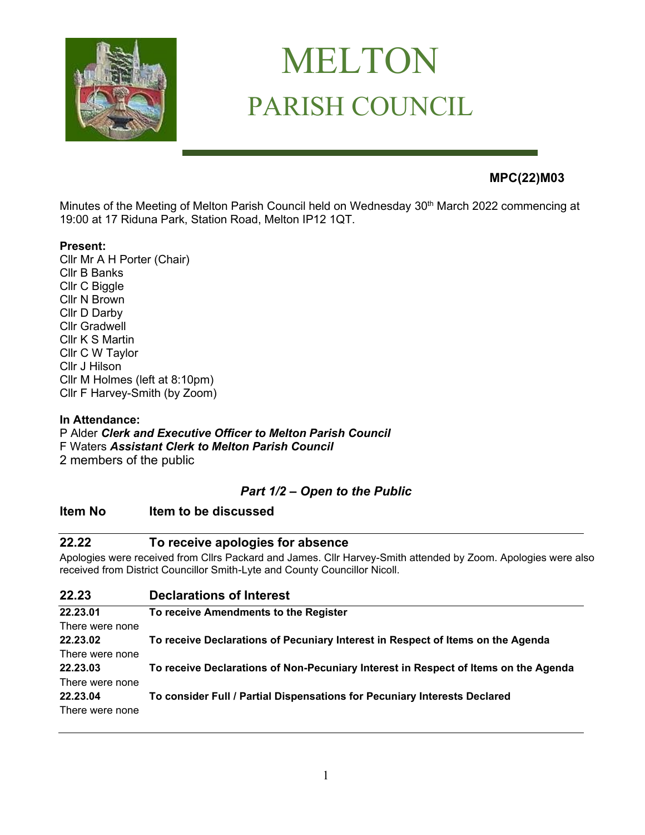

# MELTON PARISH COUNCIL

## **MPC(22)M03**

Minutes of the Meeting of Melton Parish Council held on Wednesday 30<sup>th</sup> March 2022 commencing at 19:00 at 17 Riduna Park, Station Road, Melton IP12 1QT.

#### **Present:**

Cllr Mr A H Porter (Chair) Cllr B Banks Cllr C Biggle Cllr N Brown Cllr D Darby Cllr Gradwell Cllr K S Martin Cllr C W Taylor Cllr J Hilson Cllr M Holmes (left at 8:10pm) Cllr F Harvey-Smith (by Zoom)

#### **In Attendance:** P Alder *Clerk and Executive Officer to Melton Parish Council*  F Waters *Assistant Clerk to Melton Parish Council* 2 members of the public

## *Part 1/2 – Open to the Public*

## **Item No Item to be discussed**

## **22.22 To receive apologies for absence**

Apologies were received from Cllrs Packard and James. Cllr Harvey-Smith attended by Zoom. Apologies were also received from District Councillor Smith-Lyte and County Councillor Nicoll.

## **22.23 Declarations of Interest**

| 22.23.01        | To receive Amendments to the Register                                               |
|-----------------|-------------------------------------------------------------------------------------|
| There were none |                                                                                     |
| 22.23.02        | To receive Declarations of Pecuniary Interest in Respect of Items on the Agenda     |
| There were none |                                                                                     |
| 22.23.03        | To receive Declarations of Non-Pecuniary Interest in Respect of Items on the Agenda |
| There were none |                                                                                     |
| 22.23.04        | To consider Full / Partial Dispensations for Pecuniary Interests Declared           |
| There were none |                                                                                     |
|                 |                                                                                     |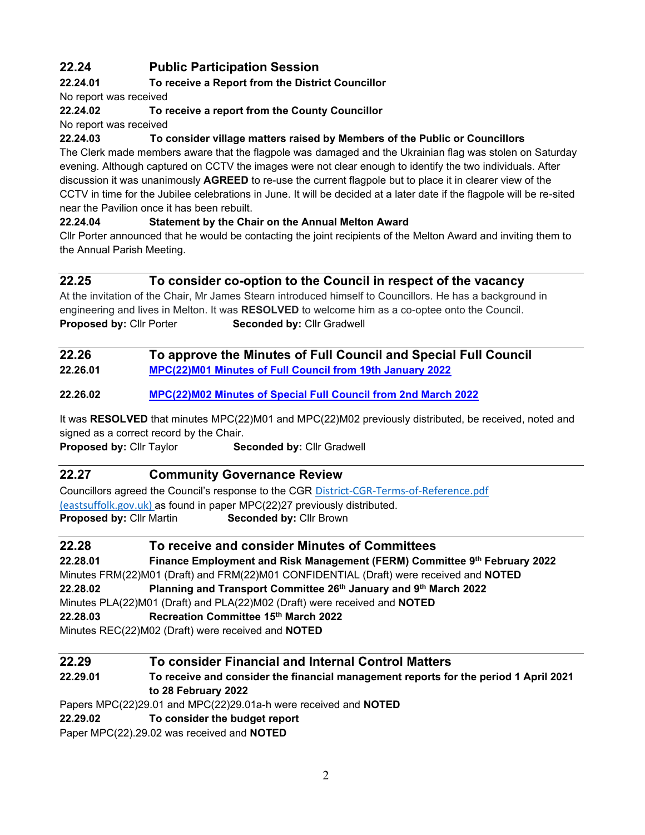# **22.24 Public Participation Session**

## **22.24.01 To receive a Report from the District Councillor**

No report was received

## **22.24.02 To receive a report from the County Councillor**

No report was received

## **22.24.03 To consider village matters raised by Members of the Public or Councillors**

The Clerk made members aware that the flagpole was damaged and the Ukrainian flag was stolen on Saturday evening. Although captured on CCTV the images were not clear enough to identify the two individuals. After discussion it was unanimously **AGREED** to re-use the current flagpole but to place it in clearer view of the CCTV in time for the Jubilee celebrations in June. It will be decided at a later date if the flagpole will be re-sited near the Pavilion once it has been rebuilt.

#### **22.24.04 Statement by the Chair on the Annual Melton Award**

Cllr Porter announced that he would be contacting the joint recipients of the Melton Award and inviting them to the Annual Parish Meeting.

## **22.25 To consider co-option to the Council in respect of the vacancy**

At the invitation of the Chair, Mr James Stearn introduced himself to Councillors. He has a background in engineering and lives in Melton. It was **RESOLVED** to welcome him as a co-optee onto the Council. **Proposed by: Cllr Porter Seconded by: Cllr Gradwell** 

## **22.26 To approve the Minutes of Full Council and Special Full Council 22.26.01 [MPC\(22\)M01 Minutes of Full Council from 19th January 2022](https://melton-suffolk-pc.gov.uk/documents/mpc22m01-minutes-of-full-council-from-19th-january-2022/)**

## **22.26.02 [MPC\(22\)M02 Minutes of Special Full Council from 2nd March 2022](https://melton-suffolk-pc.gov.uk/documents/fullcouncil2march22/)**

It was **RESOLVED** that minutes MPC(22)M01 and MPC(22)M02 previously distributed, be received, noted and signed as a correct record by the Chair.

**Proposed by: Cllr Taylor Seconded by: Cllr Gradwell** 

## **22.27 Community Governance Review**

Councillors agreed the Council's response to the CGR [District-CGR-Terms-of-Reference.pdf](https://www.eastsuffolk.gov.uk/assets/Elections/Community-Governance-Review/District-CGR-Terms-of-Reference.pdf)  [\(eastsuffolk.gov.uk\)](https://www.eastsuffolk.gov.uk/assets/Elections/Community-Governance-Review/District-CGR-Terms-of-Reference.pdf) as found in paper MPC(22)27 previously distributed. **Proposed by: Cllr Martin Seconded by: Cllr Brown** 

| 22.28                                                                                  | To receive and consider Minutes of Committees                             |  |
|----------------------------------------------------------------------------------------|---------------------------------------------------------------------------|--|
| 22.28.01                                                                               | Finance Employment and Risk Management (FERM) Committee 9th February 2022 |  |
| Minutes FRM(22)M01 (Draft) and FRM(22)M01 CONFIDENTIAL (Draft) were received and NOTED |                                                                           |  |
| 22.28.02                                                                               | Planning and Transport Committee 26th January and 9th March 2022          |  |
| Minutes PLA(22)M01 (Draft) and PLA(22)M02 (Draft) were received and NOTED              |                                                                           |  |
| 22.28.03                                                                               | Recreation Committee 15th March 2022                                      |  |
| Minutes REC(22)M02 (Draft) were received and <b>NOTED</b>                              |                                                                           |  |

## **22.29 To consider Financial and Internal Control Matters**

**22.29.01 To receive and consider the financial management reports for the period 1 April 2021 to 28 February 2022**

Papers MPC(22)29.01 and MPC(22)29.01a-h were received and **NOTED**

#### **22.29.02 To consider the budget report**

Paper MPC(22).29.02 was received and **NOTED**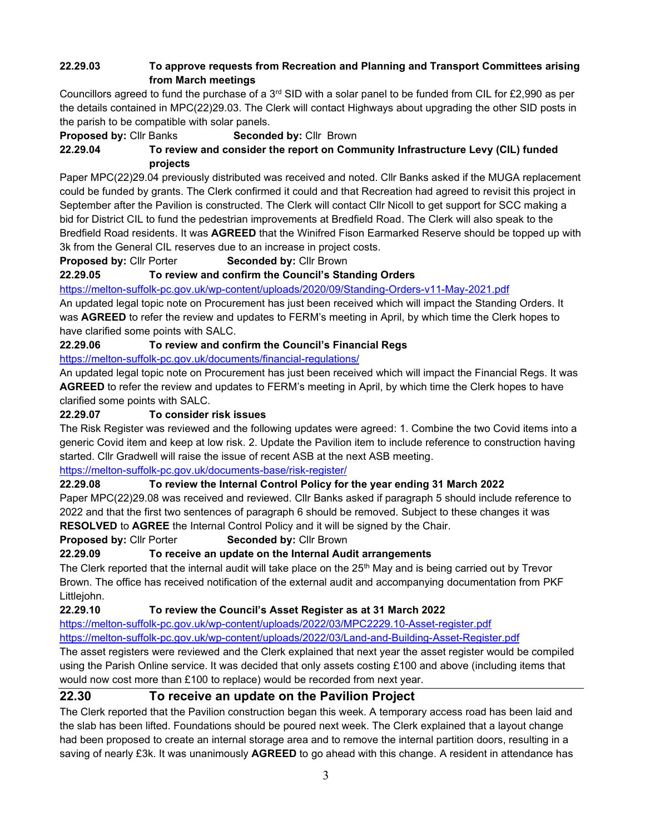## **22.29.03 To approve requests from Recreation and Planning and Transport Committees arising from March meetings**

Councillors agreed to fund the purchase of a  $3<sup>rd</sup>$  SID with a solar panel to be funded from CIL for £2,990 as per the details contained in MPC(22)29.03. The Clerk will contact Highways about upgrading the other SID posts in the parish to be compatible with solar panels.

**Proposed by: Cllr Banks Seconded by: Cllr Brown** 

## **22.29.04 To review and consider the report on Community Infrastructure Levy (CIL) funded projects**

Paper MPC(22)29.04 previously distributed was received and noted. Cllr Banks asked if the MUGA replacement could be funded by grants. The Clerk confirmed it could and that Recreation had agreed to revisit this project in September after the Pavilion is constructed. The Clerk will contact Cllr Nicoll to get support for SCC making a bid for District CIL to fund the pedestrian improvements at Bredfield Road. The Clerk will also speak to the Bredfield Road residents. It was **AGREED** that the Winifred Fison Earmarked Reserve should be topped up with 3k from the General CIL reserves due to an increase in project costs.

**Proposed by: Cllr Porter Seconded by: Cllr Brown** 

**22.29.05 To review and confirm the Council's Standing Orders**

<https://melton-suffolk-pc.gov.uk/wp-content/uploads/2020/09/Standing-Orders-v11-May-2021.pdf>

An updated legal topic note on Procurement has just been received which will impact the Standing Orders. It was **AGREED** to refer the review and updates to FERM's meeting in April, by which time the Clerk hopes to have clarified some points with SALC.

#### **22.29.06 To review and confirm the Council's Financial Regs**

<https://melton-suffolk-pc.gov.uk/documents/financial-regulations/>

An updated legal topic note on Procurement has just been received which will impact the Financial Regs. It was **AGREED** to refer the review and updates to FERM's meeting in April, by which time the Clerk hopes to have clarified some points with SALC.

#### **22.29.07 To consider risk issues**

The Risk Register was reviewed and the following updates were agreed: 1. Combine the two Covid items into a generic Covid item and keep at low risk. 2. Update the Pavilion item to include reference to construction having started. Cllr Gradwell will raise the issue of recent ASB at the next ASB meeting.

<https://melton-suffolk-pc.gov.uk/documents-base/risk-register/>

#### **22.29.08 To review the Internal Control Policy for the year ending 31 March 2022**

Paper MPC(22)29.08 was received and reviewed. Cllr Banks asked if paragraph 5 should include reference to 2022 and that the first two sentences of paragraph 6 should be removed. Subject to these changes it was **RESOLVED** to **AGREE** the Internal Control Policy and it will be signed by the Chair.

#### **Proposed by: Cllr Porter Seconded by: Cllr Brown**

## **22.29.09 To receive an update on the Internal Audit arrangements**

The Clerk reported that the internal audit will take place on the  $25<sup>th</sup>$  May and is being carried out by Trevor Brown. The office has received notification of the external audit and accompanying documentation from PKF Littlejohn.

**22.29.10 To review the Council's Asset Register as at 31 March 2022**

[https://melton-suffolk-pc.gov.uk/wp-content/uploads/2022/03/MPC2229.10-Asset-register.pdf](https://melton-suffolk-pc.gov.uk/wp-content/uploads/2022/03/MPC2229.10-Asset-Register-1.pdf) <https://melton-suffolk-pc.gov.uk/wp-content/uploads/2022/03/Land-and-Building-Asset-Register.pdf>

The asset registers were reviewed and the Clerk explained that next year the asset register would be compiled using the Parish Online service. It was decided that only assets costing £100 and above (including items that would now cost more than £100 to replace) would be recorded from next year.

## **22.30 To receive an update on the Pavilion Project**

The Clerk reported that the Pavilion construction began this week. A temporary access road has been laid and the slab has been lifted. Foundations should be poured next week. The Clerk explained that a layout change had been proposed to create an internal storage area and to remove the internal partition doors, resulting in a saving of nearly £3k. It was unanimously **AGREED** to go ahead with this change. A resident in attendance has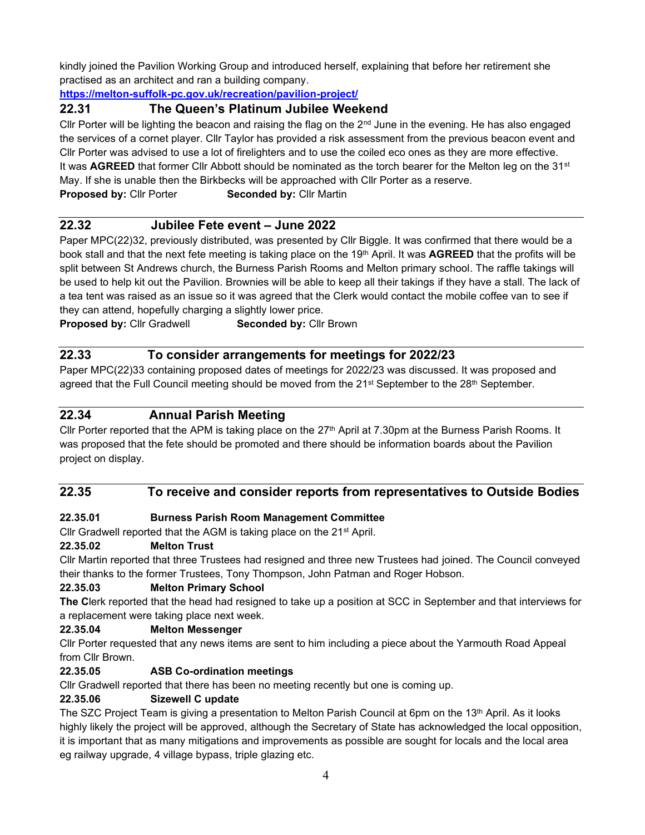kindly joined the Pavilion Working Group and introduced herself, explaining that before her retirement she practised as an architect and ran a building company.

**<https://melton-suffolk-pc.gov.uk/recreation/pavilion-project/>**

## **22.31 The Queen's Platinum Jubilee Weekend**

Cllr Porter will be lighting the beacon and raising the flag on the  $2<sup>nd</sup>$  June in the evening. He has also engaged the services of a cornet player. Cllr Taylor has provided a risk assessment from the previous beacon event and Cllr Porter was advised to use a lot of firelighters and to use the coiled eco ones as they are more effective. It was **AGREED** that former CIIr Abbott should be nominated as the torch bearer for the Melton leg on the 31<sup>st</sup> May. If she is unable then the Birkbecks will be approached with Cllr Porter as a reserve. **Proposed by: Cllr Porter Seconded by: Cllr Martin** 

## **22.32 Jubilee Fete event – June 2022**

Paper MPC(22)32, previously distributed, was presented by Cllr Biggle. It was confirmed that there would be a book stall and that the next fete meeting is taking place on the 19th April. It was **AGREED** that the profits will be split between St Andrews church, the Burness Parish Rooms and Melton primary school. The raffle takings will be used to help kit out the Pavilion. Brownies will be able to keep all their takings if they have a stall. The lack of a tea tent was raised as an issue so it was agreed that the Clerk would contact the mobile coffee van to see if they can attend, hopefully charging a slightly lower price.

**Proposed by: Cllr Gradwell Seconded by: Cllr Brown** 

## **22.33 To consider arrangements for meetings for 2022/23**

Paper MPC(22)33 containing proposed dates of meetings for 2022/23 was discussed. It was proposed and agreed that the Full Council meeting should be moved from the 21<sup>st</sup> September to the 28<sup>th</sup> September.

## **22.34 Annual Parish Meeting**

Cllr Porter reported that the APM is taking place on the  $27<sup>th</sup>$  April at 7.30pm at the Burness Parish Rooms. It was proposed that the fete should be promoted and there should be information boards about the Pavilion project on display.

## **22.35 To receive and consider reports from representatives to Outside Bodies**

#### **22.35.01 Burness Parish Room Management Committee**

Cllr Gradwell reported that the AGM is taking place on the 21<sup>st</sup> April.

#### **22.35.02 Melton Trust**

Cllr Martin reported that three Trustees had resigned and three new Trustees had joined. The Council conveyed their thanks to the former Trustees, Tony Thompson, John Patman and Roger Hobson.

#### **22.35.03 Melton Primary School**

**The C**lerk reported that the head had resigned to take up a position at SCC in September and that interviews for a replacement were taking place next week.

#### **22.35.04 Melton Messenger**

Cllr Porter requested that any news items are sent to him including a piece about the Yarmouth Road Appeal from Cllr Brown.

#### **22.35.05 ASB Co-ordination meetings**

Cllr Gradwell reported that there has been no meeting recently but one is coming up.

#### **22.35.06 Sizewell C update**

The SZC Project Team is giving a presentation to Melton Parish Council at 6pm on the 13<sup>th</sup> April. As it looks highly likely the project will be approved, although the Secretary of State has acknowledged the local opposition, it is important that as many mitigations and improvements as possible are sought for locals and the local area eg railway upgrade, 4 village bypass, triple glazing etc.